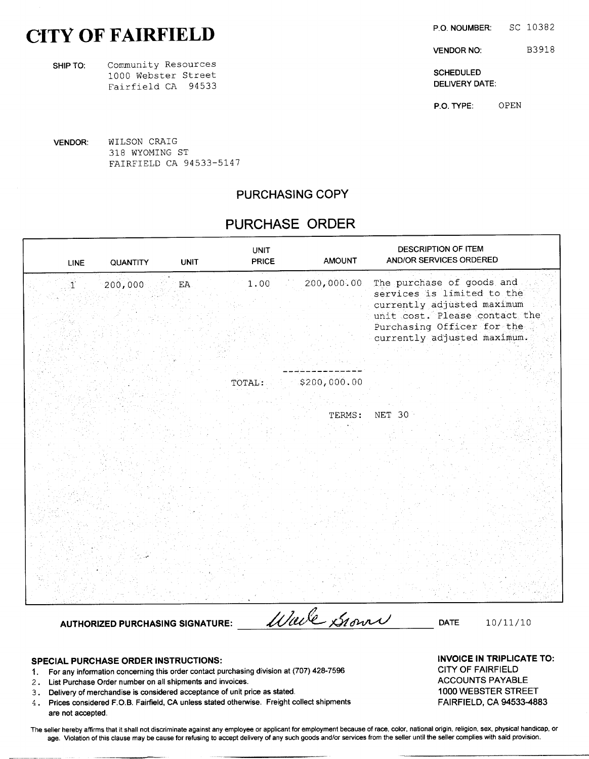# CITY OF FAIRFIELD

SHIP TO: Community Resources 1000 Webster Street<br>
1000 Webster Street<br>
Fairfield CA 94533 Fairfield CA 94533

VENDOR: WILSON CRAIG 318 WYOMING ST FAIRFIELD CA 94533-5147

# PURCHASING COPY

# PURCHASE ORDER

| <b>LINE</b>               | QUANTITY                                | <b>UNIT</b> | <b>UNIT</b><br>PRICE | <b>AMOUNT</b> | DESCRIPTION OF ITEM<br>AND/OR SERVICES ORDERED                                                                                                                                      |          |
|---------------------------|-----------------------------------------|-------------|----------------------|---------------|-------------------------------------------------------------------------------------------------------------------------------------------------------------------------------------|----------|
| $\mathbf{1}^{\mathbb{N}}$ | 200,000                                 | EA          | 1.00                 | 200,000.00    | The purchase of goods and<br>services is limited to the<br>currently adjusted maximum<br>unit cost. Please contact the<br>Purchasing Officer for the<br>currently adjusted maximum. |          |
|                           |                                         |             |                      |               |                                                                                                                                                                                     |          |
|                           |                                         |             | TOTAL:               | \$200,000.00  |                                                                                                                                                                                     |          |
|                           |                                         |             |                      |               |                                                                                                                                                                                     |          |
|                           |                                         |             |                      |               |                                                                                                                                                                                     |          |
|                           |                                         |             |                      | TERMS:        | NET 30                                                                                                                                                                              |          |
|                           |                                         |             |                      |               |                                                                                                                                                                                     |          |
|                           |                                         |             |                      |               |                                                                                                                                                                                     |          |
|                           |                                         |             |                      |               |                                                                                                                                                                                     |          |
|                           |                                         |             |                      |               |                                                                                                                                                                                     |          |
|                           |                                         |             |                      |               |                                                                                                                                                                                     |          |
|                           |                                         |             |                      |               |                                                                                                                                                                                     |          |
|                           |                                         |             |                      |               |                                                                                                                                                                                     |          |
|                           |                                         |             |                      |               |                                                                                                                                                                                     |          |
|                           |                                         |             |                      |               |                                                                                                                                                                                     |          |
|                           |                                         |             |                      |               |                                                                                                                                                                                     |          |
|                           |                                         |             |                      |               |                                                                                                                                                                                     |          |
|                           |                                         |             |                      |               |                                                                                                                                                                                     |          |
|                           |                                         |             |                      |               |                                                                                                                                                                                     |          |
|                           |                                         |             |                      | Wale Grown    | <b>DATE</b>                                                                                                                                                                         | 10/11/10 |
|                           | <b>AUTHORIZED PURCHASING SIGNATURE:</b> |             |                      |               |                                                                                                                                                                                     |          |

- SPECIAL PURCHASE ORDER INSTRUCTIONS:<br>1 For any information concerning this order contact purchasing division at (707) 428-7596 CITY OF FAIRFIELD 1. For any information concerning this order contact purchasing division at (707) 428-7596 CITY OF FAIRFIELD<br>2. List Purchase Order number on all shipments and invoices.
- 2. List Purchase Order number on all shipments and invoices.<br>2. Delivery of merchandise is considered acceptance of unit price as stated. 4. ACCOUNTS PAYABLE 1000 WEBSTER
- 3. Delivery of merchandise is considered acceptance of unit price as stated. 1000 WEBSTER STREET 4. Prices considered F.O.B. Fairfield, CA unless stated otherwise. Freight collect shipments FAIRFIELD, CA 94533-4883
- 4. Prices considered F.O.B. Fairfield, CA unless stated otherwise. Freight collect shipments are not accepted.

The seller hereby affirms that it shall not discriminate against any employee or applicant for employment because of race, color, national origin, religion, sex, physical handicap, or age. Violation of this clause may be cause for refusing to accept delivery of any such goods and/or services from the seller until the seller complies with said provision.

P.O. NOUMBER: SC 10382

VENDOR NO: B3918

P.O. TYPE: OPEN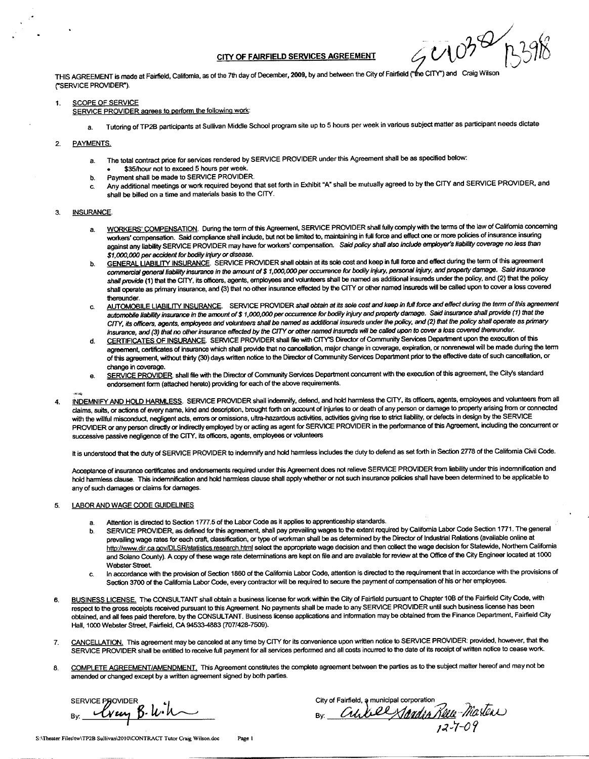CITY OF FAIRFIELD SERVICES AGREEMENT  $\mathscr{A} \cup \mathscr{O}$  $L<sup>0</sup>$ 

THIS AGREEMENT is made at Fairfield, California, as of the 7th day of December, 2009, by and between the City of Fairfield ("the CITY") and Craig Wilson ("SERVICE PROVIDER").

### 1. SCOPE OF SERVICE

SERVICE PROVIDER agrees to perform the following work:

a. Tutoring of TP2B participants at Sullivan Middle School program site up to <sup>5</sup> hours per week in various subject matter as participant needs dictate

### 2. PAYMENTS.

- a. The total contract price for services rendered by SERVICE PROVIDER under this Agreement shall be as specified below:
- 35/hour not to exceed <sup>5</sup> hours per week.
- b. Payment shall be made to SERVICE PROVIDER. c. Any additional meetings or work required beyond that set forth in Exhibit "A" shall be mutually agreed to by the CITY and SERVICE PROVIDER, and shall be billed on a time and materials basis to the CITY.

### 3. **INSURANCE**

- a. WORKERS' COMPENSATION. During the term of this Agreement, SERVICE PROVIDER shall fully comply with the terms of the law of California concerning WORKERS' COMPENSATION. During the term of this Agreement, SERVICE PROVIDER shall fully comply with the terms of the law of California correlation.<br>workers' compensation. Said compliance shall include, but not be limited to against any liability SERVICE PROVIDER may have for workers' compensation. Said policy shall also include employer's liability coverage no less than<br>\$1,000,000 per accident for bodily injury or disease.
- \$1,000,000 per accident for bodily injury or disease.<br><u>GENERAL LIABILITY INSURANCE</u>. SERVICE PROVIDER shall obtain at its sole cost and keep in full force and effect during the term of this agreement<br>commercial general lia commercial general liability insurance in the amount of \$ 1,000,000 per occurrence for bodily injury, personal injury, and property damage. Said insurance<br>shall provide (1) that the CITY, its officers, agents, employees an shall operate as primary insurance, and (3) that no other insurance effected by the CITY or other named insureds will be called upon to cover <sup>a</sup> loss covered thereunder.
- thereunder.<br>C. AUTOMOBILE LIABILITY INSURANCE. SERVICE PROVIDER shall obtain at its sole cost and keep in full force and effect during the term of this agreement of \$1,000,000 per occurrence for bodily injury and property automobile liability insurance in the amount of \$1,000,000 per occurrence for bodily injury and property damage. Said insurance shall provide (1) that the<br>CITY, its officers, agents, employees and volunteers shall be named insurance, and (3) that no other insurance effected by the CITY or other named insureds will be called upon to cover a loss covered thereunder.
- d. CERTIFICATES OF INSURANCE. SERVICE PROVIDER shall file with CITY'S Director of Community Services Department upon the execution of this agreement, certificates of insurance which shall provide that no cancellation, major change in coverage, expiration, or nonrenewal will be made during the term of this agreement, without thirty (30) days written notice to the Director of Community Services Department prior to the effective date of such cancellation, or change in coverage.
- e. SERVICE PROVIDER. shall file with the Director of Community Services Department concurrent with the execution of this agreement, the City's standard endorsement form (attached hereto) providing for each of the above requirements.
- 
- 4. INDEMNIFY AND HOLD HARMLESS. SERVICE PROVIDER shall indemnify, defend, and hold harmless the CITY, its officers, agents, employees and volunteers from all claims, suits, or actions of every name, kind and description, brought forth on account of injuries to or death of any person or damage to property arising from or connected with the willful misconduct, negligent acts, errors or omissions, ultra-hazardous activities, activities giving rise to strict liability, or defects in design by the SERVICE PROVIDER or any person directly or indirectly employed by or acting as agent for SERVICE PROVIDER in the performance of this Agreement, including the concurrent or successive passive negligence of the CITY, its officers, agents, employees or volunteers

It is understood that the duty of SERVICE PROVIDER to indemnify and hold harmless includes the duty to defend as set forth in Section <sup>2778</sup> of the California Civil Code.

Acceptance of insurance certificates and endorsements required under this Agreement does not relieve SERVICE PROVIDER from liability under this indemnification and hold harmless clause. This indemnification and hold harmless clause shall apply whether or not such insurance policies shall have been determined to be applicable to any of such damages or claims for damages.

### 5. LABOR AND WAGE CODE GUIDELINES

- a. Attention is directed to Section 1777.5 of the Labor Code as it applies to apprenticeship standards.
- b. SERVICE PROVIDER, as defined for this agreement, shall pay prevailing wages to the extent required by California Labor Code Section 1771. The general prevailing wage rates for each craft, classification, or type of workman shall be as determined by the Director of Industrial Relations (available online at Attention is directed to Section 1777.5 of the Labor Code as it applies to apprenticeship standards.<br>SERVICE PROVIDER, as defined for this agreement, shall pay prevailing wages to the extent required by California Labor Co and Solano County). <sup>A</sup> copy of these wage rate determinations are kept on file and are available for review at the Office of the City Engineer located at <sup>1000</sup> Webster Street.
- c. In accordance with the provision of Section <sup>1860</sup> of the California Labor Code, attention is directed to the requirement that in accordance with the provisions of Section <sup>3700</sup> of the Califomia Labor Code, every contractor will be required to secure the payment of compensation of his or her employees.
- 6. BUSINESS LICENSE. The CONSULTANT shall obtain a business license for work within the City of Fairfield pursuant to Chapter 10B of the Fairfield City Code, with respect to the gross receipts received pursuant to this Agreement. No payments shall be made to any SERVICE PROVIDER until such business license has been obtained, and all fees paid therefore, by the CONSULTANT. Business license applications and information may be obtained from the Finance Department, Fairfield City Hall, 1000 Webster Street, Fairfield, CA 94533-4883 (707/428-7509).
- 7. CANCELLATION. This agreement may be canceled at any time by CITY for its convenience upon written notice to SERVICE PROVIDER: provided, however, that the SERVICE PROVIDER shall be entitled to receive full payment for all services performed and all costs incurred to the date of its receipt of written notice to cease work.
- 8. COMPLETE AGREEMENT/AMENDMENT. This Agreement constitutes the complete agreement between the parties as to the subject matter hereof and may not be amended or changed except by <sup>a</sup> written agreement signed by both parties.

SERVICE PROVIDER<br>  $B_x$   $Q_{\mu}$   $\beta$   $\mu$   $\lambda$ amended or change<br>SERVICE PROVID<br>By: Well

City of Fairfield, a municipal corporation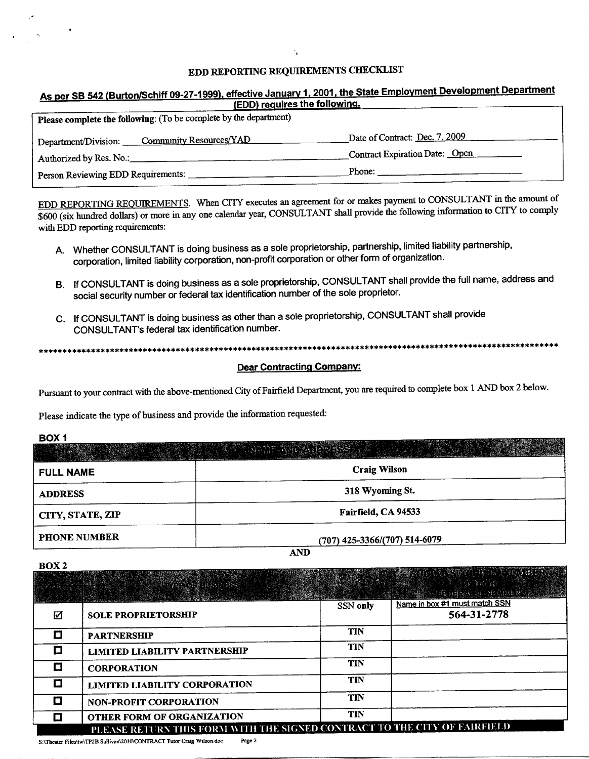# EDD REPORTING REQUIREMENTS CHECKLIST

# As per SB 542 (Burton/Schiff 09-27-1999), effective January 1, 2001, the State Employment Development Department EDD) requires the following.

| Please complete the following: (To be complete by the department) |                                |  |  |  |  |
|-------------------------------------------------------------------|--------------------------------|--|--|--|--|
| Community Resources/YAD<br>Department/Division:                   | Date of Contract: Dec. 7, 2009 |  |  |  |  |
| Authorized by Res. No.:                                           | Contract Expiration Date: Open |  |  |  |  |
| Person Reviewing EDD Requirements:                                | Phone:                         |  |  |  |  |

EDD REPORTING REQUIREMENTS. When CITY executes an agreement for or makes payment to CONSULTANT in the amount of \$600 (six hundred dollars) or more in any one calendar year, CONSULTANT shall provide the following information to CITY to comply with EDD reporting requirements:

- A. Whether CONSULTANT is doing business as <sup>a</sup> sole proprietorship, partnership, limited liability partnership, corporation, limited liability corporation, non profit corporation or other form of organization.
- B. If CONSULTANT is doing business as <sup>a</sup> sole proprietorship, CONSULTANT shall provide the full name, address and social security number or federal tax identification number of the sole proprietor.
- C. If CONSULTANT is doing business as other than <sup>a</sup> sole proprietorship, CONSULTANT shall provide If CONSULTANT is doing business as a sole prop<br>social security number or federal tax identification<br>If CONSULTANT is doing business as other than<br>CONSULTANT's federal tax identification number

## Dear Contracting Company:

Pursuant to your contract with the above mentioned City of Fairfield Department, you are required to complete box <sup>1</sup> AND box <sup>2</sup> below.

Please indicate the type of business and provide the information requested:

# BOX <sup>1</sup>

|                     | <b>TAN DAN DESEN</b>            |
|---------------------|---------------------------------|
| <b>FULL NAME</b>    | <b>Craig Wilson</b>             |
| <b>ADDRESS</b>      | 318 Wyoming St.                 |
| CITY, STATE, ZIP    | Fairfield, CA 94533             |
| <b>PHONE NUMBER</b> | $(707)$ 425-3366/(707) 514-6079 |

AND

**BOX2** 

|        |                                                                           |            | <b>A SERVED AN AS MOTORIAL PROPERTY IN STREET</b> |
|--------|---------------------------------------------------------------------------|------------|---------------------------------------------------|
|        | Station libert<br>. 이 사용자는 사용한 사항 등 사용화 <b>사항 수</b> 요 있습                  |            | 26 BRA<br><b>MARK HEARN IN SHIPPER ASSESSED</b>   |
| ☑      | <b>SOLE PROPRIETORSHIP</b>                                                | SSN only   | Name in box #1 must match SSN<br>564-31-2778      |
| С      | <b>PARTNERSHIP</b>                                                        | <b>TIN</b> |                                                   |
| $\Box$ | <b>LIMITED LIABILITY PARTNERSHIP</b>                                      | <b>TIN</b> |                                                   |
| Ĩ.     | <b>CORPORATION</b>                                                        | <b>TIN</b> |                                                   |
|        | <b>LIMITED LIABILITY CORPORATION</b>                                      | <b>TIN</b> |                                                   |
| L.     | <b>NON-PROFIT CORPORATION</b>                                             | <b>TIN</b> |                                                   |
|        | OTHER FORM OF ORGANIZATION                                                | <b>TIN</b> |                                                   |
|        | PLEASE RETURN THIS FORM WITH THE SIGNED CONTRACT TO THE CITY OF FAIRFIELD |            |                                                   |

S:\Theater Files\tw\TP2B Sullivan\2010\CONTRACT Tutor Craig Wilson.doc Page 2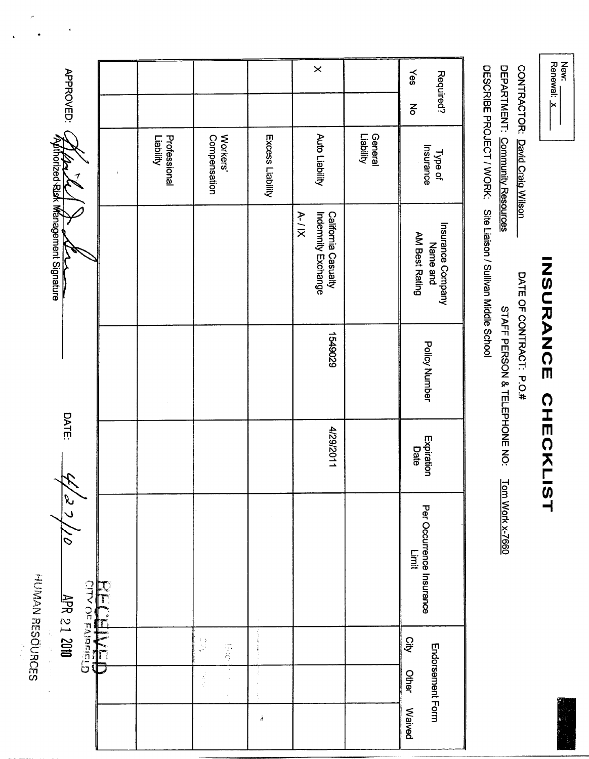| <b>⊀enewal:</b> | iew: |
|-----------------|------|
|                 |      |
|                 |      |

# INSURANCE CHECKLIST

DATE OF CONTRACT: P.O.#

CONTRACTOR: David Craig Wilson

DEPARTMENT: Community Resources

STAFF PERSON & TELEPHONE NO: Tom Work x-7660

DESCRIBE PROJECT / WORK: Site Liaison / Sullivan Middle School

| APPROVED: C                                   |                           |                          |                  | $\times$                                                |                      | Yes<br>Required?<br>ξ                           |
|-----------------------------------------------|---------------------------|--------------------------|------------------|---------------------------------------------------------|----------------------|-------------------------------------------------|
|                                               | Professional<br>Liability | Workers'<br>Compensation | Excess Liability | Auto Liability                                          | General<br>Liability | Type of<br>Insurance                            |
| úthorized Risk Management Signature           |                           |                          |                  | Indemnity Exchange<br>$A - I$ IX<br>California Casualty |                      | Insurance Company<br>AM Best Rating<br>Name and |
|                                               |                           |                          |                  | 6206+91                                                 |                      | Policy Number                                   |
| DATE:                                         |                           |                          |                  | 1129/2011                                               |                      | Expiration<br>Date                              |
| 2/27/10<br>HUMAN RESOURCES<br><b>RECEIVED</b> |                           |                          |                  |                                                         |                      | Per Occurrence Insurance<br>Limit               |
| 7644<br>医子宫的 医子宫的                             |                           | $\frac{1}{2}$<br>写写      | 化电压 计数字          |                                                         |                      | <b>Qity</b>                                     |
|                                               |                           | ś                        |                  |                                                         |                      | Endorsement Form<br>Other                       |
|                                               |                           |                          | å                |                                                         |                      | <b>Waived</b>                                   |

k.  $\ddot{\phantom{a}}$ 

 $\frac{1}{2}$ 

 $\ddot{\phantom{1}}$